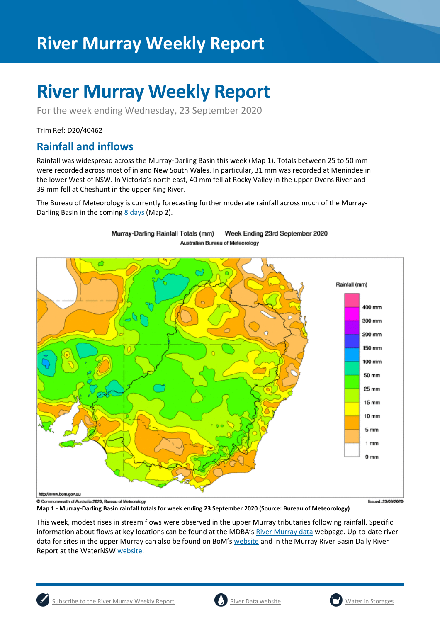# **River Murray Weekly Report**

For the week ending Wednesday, 23 September 2020

Trim Ref: D20/40462

## **Rainfall and inflows**

Rainfall was widespread across the Murray-Darling Basin this week (Map 1). Totals between 25 to 50 mm were recorded across most of inland New South Wales. In particular, 31 mm was recorded at Menindee in the lower West of NSW. In Victoria's north east, 40 mm fell at Rocky Valley in the upper Ovens River and 39 mm fell at Cheshunt in the upper King River.

The Bureau of Meteorology is currently forecasting further moderate rainfall across much of the Murray-Darling Basin in the coming [8 days](http://www.bom.gov.au/jsp/watl/rainfall/pme.jsp) (Map 2).



#### Murray-Darling Rainfall Totals (mm) Week Ending 23rd September 2020 Australian Bureau of Meteorology

**Map 1 - Murray-Darling Basin rainfall totals for week ending 23 September 2020 (Source: Bureau of Meteorology)** 

This week, modest rises in stream flows were observed in the upper Murray tributaries following rainfall. Specific information about flows at key locations can be found at the MDBA's [River Murray data](https://riverdata.mdba.gov.au/system-view) webpage. Up-to-date river data for sites in the upper Murray can also be found on BoM's [website](http://www.bom.gov.au/cgi-bin/wrap_fwo.pl?IDV60151.html) and in the Murray River Basin Daily River Report at the WaterNSW [website.](https://realtimedata.waternsw.com.au/water.stm)

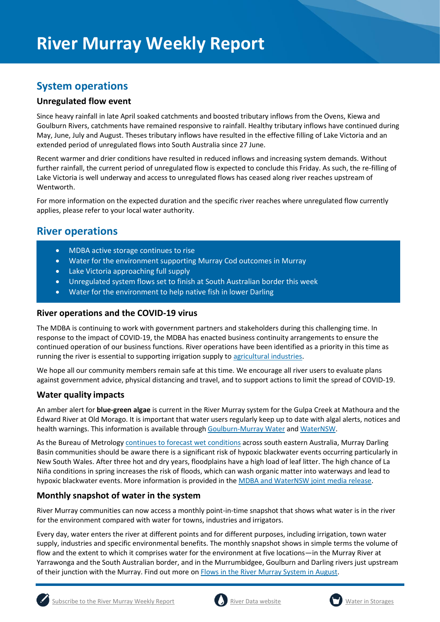## **System operations**

#### **Unregulated flow event**

Since heavy rainfall in late April soaked catchments and boosted tributary inflows from the Ovens, Kiewa and Goulburn Rivers, catchments have remained responsive to rainfall. Healthy tributary inflows have continued during May, June, July and August. Theses tributary inflows have resulted in the effective filling of Lake Victoria and an extended period of unregulated flows into South Australia since 27 June.

Recent warmer and drier conditions have resulted in reduced inflows and increasing system demands. Without further rainfall, the current period of unregulated flow is expected to conclude this Friday. As such, the re-filling of Lake Victoria is well underway and access to unregulated flows has ceased along river reaches upstream of Wentworth.

For more information on the expected duration and the specific river reaches where unregulated flow currently applies, please refer to your local water authority.

## **River operations**

- MDBA active storage continues to rise
- Water for the environment supporting Murray Cod outcomes in Murray
- Lake Victoria approaching full supply
- Unregulated system flows set to finish at South Australian border this week
- Water for the environment to help native fish in lower Darling

#### **River operations and the COVID-19 virus**

The MDBA is continuing to work with government partners and stakeholders during this challenging time. In response to the impact of COVID-19, the MDBA has enacted business continuity arrangements to ensure the continued operation of our business functions. River operations have been identified as a priority in this time as running the river is essential to supporting irrigation supply t[o agricultural industries.](https://www.agriculture.gov.au/biosecurity/coronavirus/food-agriculture)

We hope all our community members remain safe at this time. We encourage all river users to evaluate plans against government advice, physical distancing and travel, and to support actions to limit the spread of COVID-19.

#### **Water quality impacts**

An amber alert for **blue-green algae** is current in the River Murray system for the Gulpa Creek at Mathoura and the Edward River at Old Morago. It is important that water users regularly keep up to date with algal alerts, notices and health warnings. This information is available throug[h Goulburn-Murray Water](https://www.g-mwater.com.au/news/bga) an[d WaterNSW.](https://www.waternsw.com.au/water-quality/algae)

As the Bureau of Metrology continues to [forecast wet conditions](http://www.bom.gov.au/climate/outlooks/#/overview/summary) across south eastern Australia, Murray Darling Basin communities should be aware there is a significant risk of hypoxic blackwater events occurring particularly in New South Wales. After three hot and dry years, floodplains have a high load of leaf litter. The high chance of La Niña conditions in spring increases the risk of floods, which can wash organic matter into waterways and lead to hypoxic blackwater events. More information is provided in the [MDBA and WaterNSW joint media release.](file:///C:/Users/ta1/AppData/Local/Microsoft/Windows/INetCache/Content.Outlook/HWHE1VVV/ains%20wash%20organic%20matter%20into%20waterways%20it%20can%20lead%20to%20hypoxic%20blackwater%20events)

#### **Monthly snapshot of water in the system**

River Murray communities can now access a monthly point-in-time snapshot that shows what water is in the river for the environment compared with water for towns, industries and irrigators.

Every day, water enters the river at different points and for different purposes, including irrigation, town water supply, industries and specific environmental benefits. The monthly snapshot shows in simple terms the volume of flow and the extent to which it comprises water for the environment at five locations—in the Murray River at Yarrawonga and the South Australian border, and in the Murrumbidgee, Goulburn and Darling rivers just upstream of their junction with the Murray. Find out more o[n Flows in the River Murray System in August.](https://www.mdba.gov.au/river-murray-system/river-murray-operations/sharing-river-murray-water/flows-river-murray-system)





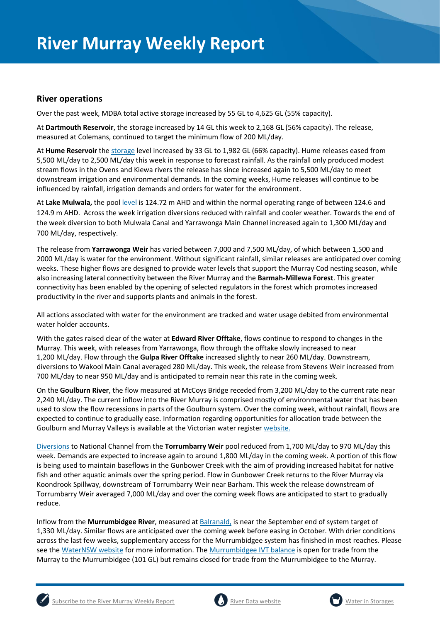#### **River operations**

Over the past week, MDBA total active storage increased by 55 GL to 4,625 GL (55% capacity).

At **Dartmouth Reservoir**, the storage increased by 14 GL this week to 2,168 GL (56% capacity). The release, measured at Colemans, continued to target the minimum flow of 200 ML/day.

At **Hume Reservoir** th[e storage](https://riverdata.mdba.gov.au/hume-dam) level increased by 33 GL to 1,982 GL (66% capacity). Hume releases eased from 5,500 ML/day to 2,500 ML/day this week in response to forecast rainfall. As the rainfall only produced modest stream flows in the Ovens and Kiewa rivers the release has since increased again to 5,500 ML/day to meet downstream irrigation and environmental demands. In the coming weeks, Hume releases will continue to be influenced by rainfall, irrigation demands and orders for water for the environment.

At **Lake Mulwala,** the pool level is 124.72 m AHD and within the normal operating range of between 124.6 and 124.9 m AHD. Across the week irrigation diversions reduced with rainfall and cooler weather. Towards the end of the week diversion to both Mulwala Canal and Yarrawonga Main Channel increased again to 1,300 ML/day and 700 ML/day, respectively.

The release from **Yarrawonga Weir** has varied between 7,000 and 7,500 ML/day, of which between 1,500 and 2000 ML/day is water for the environment. Without significant rainfall, similar releases are anticipated over coming weeks. These higher flows are designed to provide water levels that support the Murray Cod nesting season, while also increasing lateral connectivity between the River Murray and the **Barmah-Millewa Forest**. This greater connectivity has been enabled by the opening of selected regulators in the forest which promotes increased productivity in the river and supports plants and animals in the forest.

All actions associated with water for the environment are tracked and water usage debited from environmental water holder accounts.

With the gates raised clear of the water at **Edward River Offtake**, flows continue to respond to changes in the Murray. This week, with releases from Yarrawonga, flow through the offtake slowly increased to near 1,200 ML/day. Flow through the **Gulpa River Offtake** increased slightly to near 260 ML/day. Downstream, diversions to Wakool Main Canal averaged 280 ML/day. This week, the release from Stevens Weir increased from 700 ML/day to near 950 ML/day and is anticipated to remain near this rate in the coming week.

On the **Goulburn River**, the flow measured at McCoys Bridge receded from 3,200 ML/day to the current rate near 2,240 ML/day. The current inflow into the River Murray is comprised mostly of environmental water that has been used to slow the flow recessions in parts of the Goulburn system. Over the coming week, without rainfall, flows are expected to continue to gradually ease. Information regarding opportunities for allocation trade between the Goulburn and Murray Valleys is available at the Victorian water register [website.](http://waterregister.vic.gov.au/water-trading/allocation-trading#AllocationTradeOpportunities)

[Diversions](https://riverdata.mdba.gov.au/national-channel-ds-torrumbarry-headworks) to National Channel from the **Torrumbarry Weir** pool reduced from 1,700 ML/day to 970 ML/day this week. Demands are expected to increase again to around 1,800 ML/day in the coming week. A portion of this flow is being used to maintain baseflows in the Gunbower Creek with the aim of providing increased habitat for native fish and other aquatic animals over the spring period. Flow in Gunbower Creek returns to the River Murray via Koondrook Spillway, downstream of Torrumbarry Weir near Barham. This week the release downstream of Torrumbarry Weir averaged 7,000 ML/day and over the coming week flows are anticipated to start to gradually reduce.

Inflow from the **Murrumbidgee River**, measured a[t Balranald,](https://riverdata.mdba.gov.au/balranald-weir-downstream) is near the September end of system target of 1,330 ML/day. Similar flows are anticipated over the coming week before easing in October. With drier conditions across the last few weeks, supplementary access for the Murrumbidgee system has finished in most reaches. Please see the [WaterNSW website](https://www.waternsw.com.au/supply/regional-nsw/supplementary) for more information. The [Murrumbidgee IVT balance](https://www.waternsw.com.au/customer-service/ordering-trading-and-pricing/trading/murrumbidgee) is open for trade from the Murray to the Murrumbidgee (101 GL) but remains closed for trade from the Murrumbidgee to the Murray.



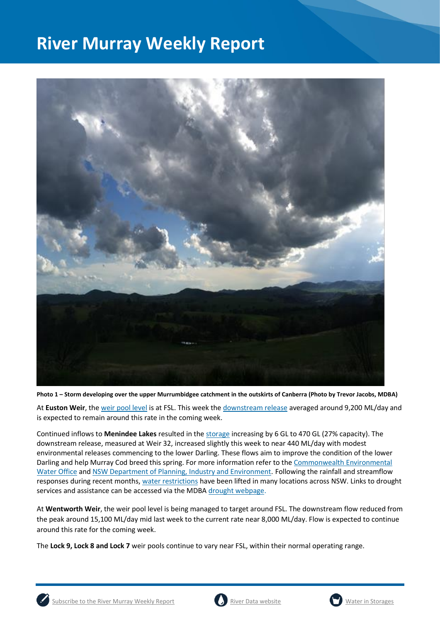

**Photo 1 – Storm developing over the upper Murrumbidgee catchment in the outskirts of Canberra (Photo by Trevor Jacobs, MDBA)** 

At **Euston Weir**, th[e weir pool level](https://riverdata.mdba.gov.au/euston-weir-upstream) is at FSL. This week th[e downstream release](https://riverdata.mdba.gov.au/euston-weir-downstream) averaged around 9,200 ML/day and is expected to remain around this rate in the coming week.

Continued inflows to **Menindee Lakes** resulted in th[e storage](https://riverdata.mdba.gov.au/menindee-lakes-combined-storage) increasing by 6 GL to 470 GL (27% capacity). The downstream release, measured at Weir 32, increased slightly this week to near 440 ML/day with modest environmental releases commencing to the lower Darling. These flows aim to improve the condition of the lower Darling and help Murray Cod breed this spring. For more information refer to th[e Commonwealth Environmental](https://www.environment.gov.au/cewo/media-release/lower-darling-baaka-flows-boosted)  [Water Office](https://www.environment.gov.au/cewo/media-release/lower-darling-baaka-flows-boosted) and [NSW Department of Planning, Industry and Environment.](https://www.environment.nsw.gov.au/news/spring-flow-for-fish-in-the-lower-darling-baaka-river) Following the rainfall and streamflow responses during recent months[, water restrictions](https://www.industry.nsw.gov.au/water/allocations-availability/temporary-water-restrictions) have been lifted in many locations across NSW. Links to drought services and assistance can be accessed via the MDBA [drought webpage.](https://www.mdba.gov.au/managing-water/drought-murray-darling-basin)

At **Wentworth Weir**, the weir pool level is being managed to target around FSL. The downstream flow reduced from the peak around 15,100 ML/day mid last week to the current rate near 8,000 ML/day. Flow is expected to continue around this rate for the coming week.

The **Lock 9, Lock 8 and Lock 7** weir pools continue to vary near FSL, within their normal operating range.



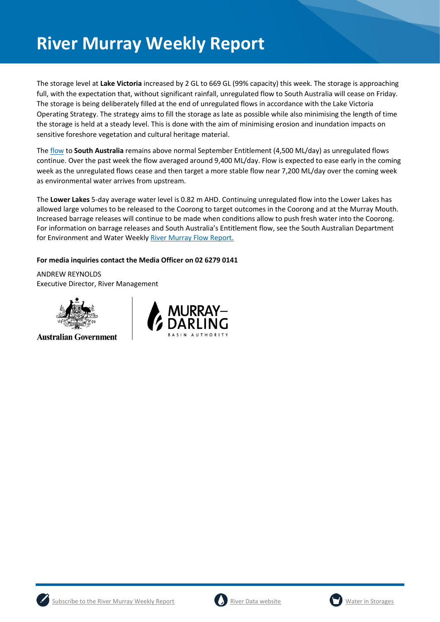The storage level at **Lake Victoria** increased by 2 GL to 669 GL (99% capacity) this week. The storage is approaching full, with the expectation that, without significant rainfall, unregulated flow to South Australia will cease on Friday. The storage is being deliberately filled at the end of unregulated flows in accordance with the Lake Victoria Operating Strategy. The strategy aims to fill the storage as late as possible while also minimising the length of time the storage is held at a steady level. This is done with the aim of minimising erosion and inundation impacts on sensitive foreshore vegetation and cultural heritage material.

The [flow](https://riverdata.mdba.gov.au/flow-south-australia-calculated) to **South Australia** remains above normal September Entitlement (4,500 ML/day) as unregulated flows continue. Over the past week the flow averaged around 9,400 ML/day. Flow is expected to ease early in the coming week as the unregulated flows cease and then target a more stable flow near 7,200 ML/day over the coming week as environmental water arrives from upstream.

The **Lower Lakes** 5-day average water level is 0.82 m AHD. Continuing unregulated flow into the Lower Lakes has allowed large volumes to be released to the Coorong to target outcomes in the Coorong and at the Murray Mouth. Increased barrage releases will continue to be made when conditions allow to push fresh water into the Coorong. For information on barrage releases and South Australia's Entitlement flow, see the South Australian Department for Environment and Water Weekl[y River Murray Flow Report.](https://www.environment.sa.gov.au/topics/river-murray/flow-reports)

#### **For media inquiries contact the Media Officer on 02 6279 0141**

ANDREW REYNOLDS Executive Director, River Management



**Australian Government** 







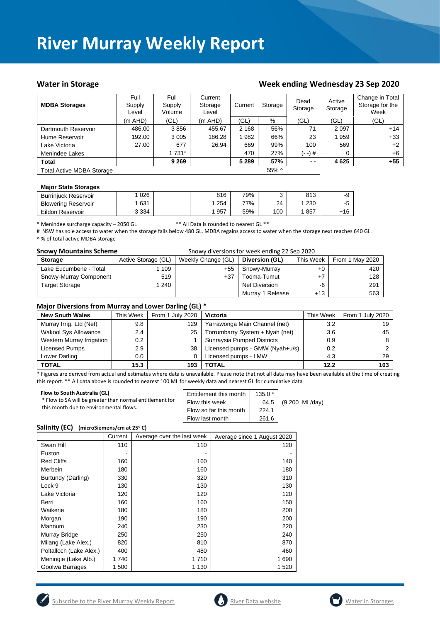#### Water in Storage Water in Storage Week ending Wednesday 23 Sep 2020

| <b>MDBA Storages</b>             | Full<br>Supply<br>Level | Full<br>Supply<br>Volume | Current<br>Storage<br>Level | Current | Storage | Dead<br>Storage | Active<br>Storage | Change in Total<br>Storage for the<br>Week |
|----------------------------------|-------------------------|--------------------------|-----------------------------|---------|---------|-----------------|-------------------|--------------------------------------------|
|                                  | $(m$ AHD)               | (GL)                     | $(m$ AHD)                   | (GL)    | %       | (GL)            | (GL)              | (GL)                                       |
| Dartmouth Reservoir              | 486.00                  | 3856                     | 455.67                      | 2 1 6 8 | 56%     | 71              | 2 0 9 7           | $+14$                                      |
| Hume Reservoir                   | 192.00                  | 3 0 0 5                  | 186.28                      | 982     | 66%     | 23              | 1959              | $+33$                                      |
| Lake Victoria                    | 27.00                   | 677                      | 26.94                       | 669     | 99%     | 100             | 569               | $+2$                                       |
| Menindee Lakes                   |                         | 1 731*                   |                             | 470     | 27%     | (- -) #         | 0                 | $+6$                                       |
| <b>Total</b>                     |                         | 9 2 6 9                  |                             | 5 2 8 9 | 57%     | $ -$            | 4 6 2 5           | $+55$                                      |
| <b>Total Active MDBA Storage</b> |                         |                          |                             |         | 55% ^   |                 |                   |                                            |

#### **Major State Storages**

| <b>Burriniuck Reservoir</b> | 026     | 816 | 79% | $\sim$ | 813 | -9        |
|-----------------------------|---------|-----|-----|--------|-----|-----------|
| <b>Blowering Reservoir</b>  | 631     | 254 | 77% | 24     | 230 | $-$<br>ิบ |
| Eildon Reservoir            | 3 3 3 4 | 957 | 59% | 100    | 857 | $+16$     |

\* Menindee surcharge capacity – 2050 GL \*\* All Data is rounded to nearest GL \*\*

# NSW has sole access to water when the storage falls below 480 GL. MDBA regains access to water when the storage next reaches 640 GL. ^ % of total active MDBA storage

|  |  | <b>Snowy Mountains Scheme</b> |  |
|--|--|-------------------------------|--|
|--|--|-------------------------------|--|

Snowy diversions for week ending 22 Sep 2020

| <b>Storage</b>         | Active Storage (GL) | Weekly Change (GL) | Diversion (GL)   | This Week | From 1 May 2020 |
|------------------------|---------------------|--------------------|------------------|-----------|-----------------|
| Lake Eucumbene - Total | 109                 | $+55$              | Snowy-Murray     | $+0$      | 420             |
| Snowy-Murray Component | 519                 | $+37$              | Tooma-Tumut      | $+7$      | 128             |
| <b>Target Storage</b>  | 240                 |                    | Net Diversion    | -6        | 291             |
|                        |                     |                    | Murray 1 Release | $+13$     | 563             |

#### **Major Diversions from Murray and Lower Darling (GL) \***

| <b>New South Wales</b>      | This Week | From 1 July 2020 | Victoria                        | This Week | From 1 July 2020 |
|-----------------------------|-----------|------------------|---------------------------------|-----------|------------------|
| Murray Irrig. Ltd (Net)     | 9.8       | 129              | Yarrawonga Main Channel (net)   | 3.2       | 19               |
| <b>Wakool Sys Allowance</b> | 2.4       | 25               | Torrumbarry System + Nyah (net) | 3.6       | 45               |
| Western Murray Irrigation   | $0.2\,$   |                  | Sunraysia Pumped Districts      | 0.9       |                  |
| Licensed Pumps              | 2.9       | 38               | Licensed pumps - GMW (Nyah+u/s) | 0.2       |                  |
| Lower Darling               | $0.0\,$   |                  | Licensed pumps - LMW            | 4.3       | 29               |
| <b>TOTAL</b>                | 15.3      | 193              | TOTAL                           | 12.2      | 103              |

\* Figures are derived from actual and estimates where data is unavailable. Please note that not all data may have been available at the time of creating this report. \*\* All data above is rounded to nearest 100 ML for weekly data and nearest GL for cumulative data

| Flow to South Australia (GL)<br>* Flow to SA will be greater than normal entitlement for<br>this month due to environmental flows. | Entitlement this month<br>Flow this week<br>Flow so far this month<br>Flow last month | $135.0*$<br>64.5<br>224.1<br>261.6 | (9 200 ML/day) |
|------------------------------------------------------------------------------------------------------------------------------------|---------------------------------------------------------------------------------------|------------------------------------|----------------|
|------------------------------------------------------------------------------------------------------------------------------------|---------------------------------------------------------------------------------------|------------------------------------|----------------|

#### **Salinity (EC) (microSiemens/cm at 25<sup>o</sup> C)**

|                         | Current | Average over the last week | Average since 1 August 2020 |
|-------------------------|---------|----------------------------|-----------------------------|
| Swan Hill               | 110     | 110                        | 120                         |
| Euston                  |         |                            |                             |
| <b>Red Cliffs</b>       | 160     | 160                        | 140                         |
| Merbein                 | 180     | 160                        | 180                         |
| Burtundy (Darling)      | 330     | 320                        | 310                         |
| Lock 9                  | 130     | 130                        | 130                         |
| Lake Victoria           | 120     | 120                        | 120                         |
| Berri                   | 160     | 160                        | 150                         |
| Waikerie                | 180     | 180                        | 200                         |
| Morgan                  | 190     | 190                        | 200                         |
| Mannum                  | 240     | 230                        | 220                         |
| Murray Bridge           | 250     | 250                        | 240                         |
| Milang (Lake Alex.)     | 820     | 810                        | 870                         |
| Poltalloch (Lake Alex.) | 400     | 480                        | 460                         |
| Meningie (Lake Alb.)    | 1740    | 1710                       | 1690                        |
| Goolwa Barrages         | 1 500   | 1 130                      | 1 5 2 0                     |





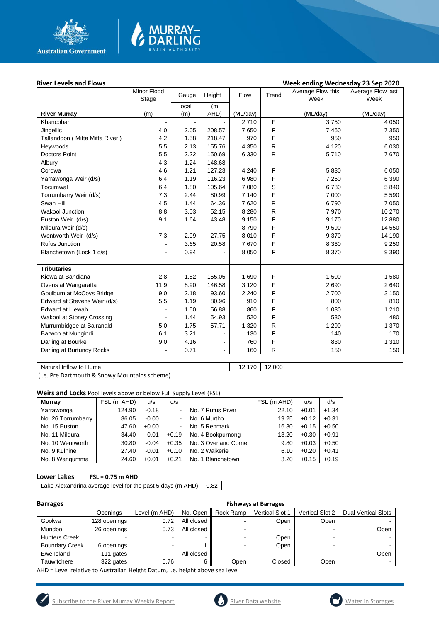

# MURRAY<mark>–</mark><br>DARLING

#### **River Levels and Flows Week ending Wednesday 23 Sep 2020**

|                                | Minor Flood<br>Stage     | Gauge | Height         | Flow     | Trend        | Average Flow this<br>Week | Average Flow last<br>Week |
|--------------------------------|--------------------------|-------|----------------|----------|--------------|---------------------------|---------------------------|
|                                |                          | local | (m)            |          |              |                           |                           |
| <b>River Murray</b>            | (m)                      | (m)   | AHD)           | (ML/day) |              | (ML/day)                  | (ML/day)                  |
| Khancoban                      | $\blacksquare$           |       |                | 2710     | F            | 3750                      | 4 0 5 0                   |
| Jingellic                      | 4.0                      | 2.05  | 208.57         | 7650     | F            | 7460                      | 7 3 5 0                   |
| Tallandoon (Mitta Mitta River) | 4.2                      | 1.58  | 218.47         | 970      | F            | 950                       | 950                       |
| Heywoods                       | 5.5                      | 2.13  | 155.76         | 4 3 5 0  | $\mathsf{R}$ | 4 1 2 0                   | 6 0 30                    |
| <b>Doctors Point</b>           | 5.5                      | 2.22  | 150.69         | 6 3 3 0  | R            | 5710                      | 7670                      |
| Albury                         | 4.3                      | 1.24  | 148.68         |          |              |                           |                           |
| Corowa                         | 4.6                      | 1.21  | 127.23         | 4 2 4 0  | F            | 5830                      | 6 0 5 0                   |
| Yarrawonga Weir (d/s)          | 6.4                      | 1.19  | 116.23         | 6980     | F            | 7 2 5 0                   | 6 3 9 0                   |
| Tocumwal                       | 6.4                      | 1.80  | 105.64         | 7 0 8 0  | S            | 6780                      | 5 8 4 0                   |
| Torrumbarry Weir (d/s)         | 7.3                      | 2.44  | 80.99          | 7 1 4 0  | F            | 7 0 0 0                   | 5 5 9 0                   |
| Swan Hill                      | 4.5                      | 1.44  | 64.36          | 7620     | $\mathsf{R}$ | 6790                      | 7 0 5 0                   |
| <b>Wakool Junction</b>         | 8.8                      | 3.03  | 52.15          | 8 2 8 0  | $\mathsf{R}$ | 7970                      | 10 270                    |
| Euston Weir (d/s)              | 9.1                      | 1.64  | 43.48          | 9 1 5 0  | F            | 9 1 7 0                   | 12 880                    |
| Mildura Weir (d/s)             |                          |       |                | 8790     | F            | 9590                      | 14 550                    |
| Wentworth Weir (d/s)           | 7.3                      | 2.99  | 27.75          | 8010     | F            | 9 3 7 0                   | 14 190                    |
| Rufus Junction                 | ä,                       | 3.65  | 20.58          | 7670     | F            | 8 3 6 0                   | 9 2 5 0                   |
| Blanchetown (Lock 1 d/s)       | $\overline{\phantom{a}}$ | 0.94  |                | 8 0 5 0  | F            | 8 3 7 0                   | 9 3 9 0                   |
|                                |                          |       |                |          |              |                           |                           |
| <b>Tributaries</b>             |                          |       |                |          |              |                           |                           |
| Kiewa at Bandiana              | 2.8                      | 1.82  | 155.05         | 1690     | F            | 1 500                     | 1580                      |
| Ovens at Wangaratta            | 11.9                     | 8.90  | 146.58         | 3 1 2 0  | F            | 2690                      | 2640                      |
| Goulburn at McCoys Bridge      | 9.0                      | 2.18  | 93.60          | 2 2 4 0  | F            | 2700                      | 3 1 5 0                   |
| Edward at Stevens Weir (d/s)   | 5.5                      | 1.19  | 80.96          | 910      | F            | 800                       | 810                       |
| <b>Edward at Liewah</b>        |                          | 1.50  | 56.88          | 860      | F            | 1 0 3 0                   | 1 2 1 0                   |
| Wakool at Stoney Crossing      |                          | 1.44  | 54.93          | 520      | F            | 530                       | 480                       |
| Murrumbidgee at Balranald      | 5.0                      | 1.75  | 57.71          | 1 3 2 0  | R            | 1 2 9 0                   | 1 370                     |
| Barwon at Mungindi             | 6.1                      | 3.21  |                | 130      | F            | 140                       | 170                       |
| Darling at Bourke              | 9.0                      | 4.16  | -              | 760      | F            | 830                       | 1 3 1 0                   |
| Darling at Burtundy Rocks      | $\blacksquare$           | 0.71  | $\blacksquare$ | 160      | R            | 150                       | 150                       |

Natural Inflow to Hume 12 170 12 000

(i.e. Pre Dartmouth & Snowy Mountains scheme)

**Weirs and Locks** Pool levels above or below Full Supply Level (FSL)

| Murray             | FSL (m AHD) | u/s     | d/s     |                       | FSL (m AHD) | u/s     | d/s     |
|--------------------|-------------|---------|---------|-----------------------|-------------|---------|---------|
| Yarrawonga         | 124.90      | $-0.18$ |         | No. 7 Rufus River     | 22.10       | $+0.01$ | $+1.34$ |
| No. 26 Torrumbarry | 86.05       | $-0.00$ |         | No. 6 Murtho          | 19.25       | $+0.12$ | $+0.31$ |
| No. 15 Euston      | 47.60       | $+0.00$ |         | No. 5 Renmark         | 16.30       | $+0.15$ | $+0.50$ |
| No. 11 Mildura     | 34.40       | $-0.01$ | $+0.19$ | No. 4 Bookpurnong     | 13.20       | $+0.30$ | $+0.91$ |
| No. 10 Wentworth   | 30.80       | $-0.04$ | $+0.35$ | No. 3 Overland Corner | 9.80        | $+0.03$ | $+0.50$ |
| No. 9 Kulnine      | 27.40       | $-0.01$ | $+0.10$ | No. 2 Waikerie        | 6.10        | $+0.20$ | $+0.41$ |
| No. 8 Wangumma     | 24.60       | $+0.01$ | $+0.21$ | No. 1 Blanchetown     | 3.20        | $+0.15$ | $+0.19$ |

#### **Lower Lakes FSL = 0.75 m AHD**

Lake Alexandrina average level for the past 5 days (m AHD)  $\Big| 0.82 \Big|$ 

| <b>Barrages</b>       | <b>Fishways at Barrages</b> |               |            |           |                        |                        |                            |  |  |
|-----------------------|-----------------------------|---------------|------------|-----------|------------------------|------------------------|----------------------------|--|--|
|                       | Openings                    | Level (m AHD) | No. Open   | Rock Ramp | <b>Vertical Slot 1</b> | <b>Vertical Slot 2</b> | <b>Dual Vertical Slots</b> |  |  |
| Goolwa                | 128 openings                | 0.72          | All closed |           | Open                   | Open                   |                            |  |  |
| Mundoo                | 26 openings                 | 0.73          | All closed |           |                        |                        | Open                       |  |  |
| <b>Hunters Creek</b>  |                             | ۰             |            |           | Open                   | -                      |                            |  |  |
| <b>Boundary Creek</b> | 6 openings                  | ۰.            |            |           | Open                   | -                      |                            |  |  |
| Ewe Island            | 111 gates                   | -             | All closed |           |                        |                        | Open                       |  |  |
| Tauwitchere           | 322 gates                   | 0.76          | 6          | Open      | Closed                 | Open                   |                            |  |  |

AHD = Level relative to Australian Height Datum, i.e. height above sea level